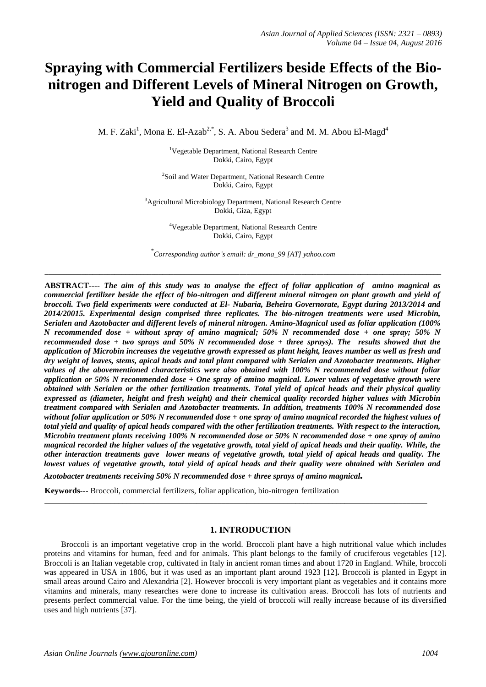# **Spraying with Commercial Fertilizers beside Effects of the Bionitrogen and Different Levels of Mineral Nitrogen on Growth, Yield and Quality of Broccoli**

M. F. Zaki<sup>1</sup>, Mona E. El-Azab<sup>2,\*</sup>, S. A. Abou Sedera<sup>3</sup> and M. M. Abou El-Magd<sup>4</sup>

<sup>1</sup>Vegetable Department, National Research Centre Dokki, Cairo, Egypt

<sup>2</sup>Soil and Water Department, National Research Centre Dokki, Cairo, Egypt

<sup>3</sup>Agricultural Microbiology Department, National Research Centre Dokki, Giza, Egypt

> <sup>4</sup>Vegetable Department, National Research Centre Dokki, Cairo, Egypt

\* *Corresponding author's email: dr\_mona\_99 [AT] yahoo.com*

\_\_\_\_\_\_\_\_\_\_\_\_\_\_\_\_\_\_\_\_\_\_\_\_\_\_\_\_\_\_\_\_\_\_\_\_\_\_\_\_\_\_\_\_\_\_\_\_\_\_\_\_\_\_\_\_\_\_\_\_\_\_\_\_\_\_\_\_\_\_\_\_\_\_\_\_\_\_\_\_\_\_\_\_\_\_\_\_\_\_\_\_\_\_\_\_\_\_\_\_\_\_\_\_\_\_\_\_

**ABSTRACT----** *The aim of this study was to analyse the effect of foliar application of amino magnical as commercial fertilizer beside the effect of bio-nitrogen and different mineral nitrogen on plant growth and yield of broccoli. Two field experiments were conducted at El- Nubaria, Beheira Governorate, Egypt during 2013/2014 and 2014/20015. Experimental design comprised three replicates. The bio-nitrogen treatments were used Microbin, Serialen and Azotobacter and different levels of mineral nitrogen. Amino-Magnical used as foliar application (100% N recommended dose + without spray of amino magnical; 50% N recommended dose + one spray; 50% N recommended dose + two sprays and 50% N recommended dose + three sprays). The results showed that the application of Microbin increases the vegetative growth expressed as plant height, leaves number as well as fresh and dry weight of leaves, stems, apical heads and total plant compared with Serialen and Azotobacter treatments. Higher values of the abovementioned characteristics were also obtained with 100% N recommended dose without foliar application or 50% N recommended dose + One spray of amino magnical. Lower values of vegetative growth were obtained with Serialen or the other fertilization treatments. Total yield of apical heads and their physical quality expressed as (diameter, height and fresh weight) and their chemical quality recorded higher values with Microbin treatment compared with Serialen and Azotobacter treatments. In addition, treatments 100% N recommended dose without foliar application or 50% N recommended dose + one spray of amino magnical recorded the highest values of total yield and quality of apical heads compared with the other fertilization treatments. With respect to the interaction, Microbin treatment plants receiving 100% N recommended dose or 50% N recommended dose + one spray of amino magnical recorded the higher values of the vegetative growth, total yield of apical heads and their quality. While, the other interaction treatments gave lower means of vegetative growth, total yield of apical heads and quality. The*  lowest values of vegetative growth, total yield of apical heads and their quality were obtained with Serialen and

*Azotobacter treatments receiving 50% N recommended dose + three sprays of amino magnical.*

**Keywords---** Broccoli, commercial fertilizers, foliar application, bio-nitrogen fertilization

## **1. INTRODUCTION**

\_\_\_\_\_\_\_\_\_\_\_\_\_\_\_\_\_\_\_\_\_\_\_\_\_\_\_\_\_\_\_\_\_\_\_\_\_\_\_\_\_\_\_\_\_\_\_\_\_\_\_\_\_\_\_\_\_\_\_\_\_\_\_\_\_\_\_\_\_\_\_\_\_\_\_\_\_\_\_\_\_\_\_\_\_\_\_\_\_\_\_\_\_

Broccoli is an important vegetative crop in the world. Broccoli plant have a high nutritional value which includes proteins and vitamins for human, feed and for animals. This plant belongs to the family of cruciferous vegetables [12]. Broccoli is an Italian vegetable crop, cultivated in Italy in ancient roman times and about 1720 in England. While, broccoli was appeared in USA in 1806, but it was used as an important plant around 1923 [12]**.** Broccoli is planted in Egypt in small areas around Cairo and Alexandria [2]. However broccoli is very important plant as vegetables and it contains more vitamins and minerals, many researches were done to increase its cultivation areas. Broccoli has lots of nutrients and presents perfect commercial value. For the time being, the yield of broccoli will really increase because of its diversified uses and high nutrients [37].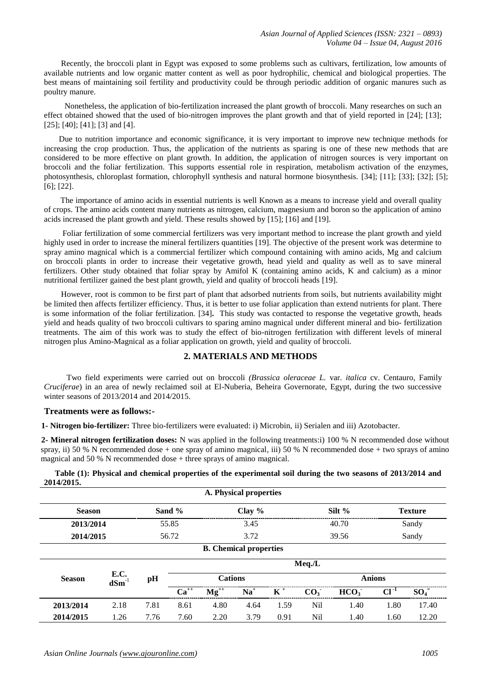Recently, the broccoli plant in Egypt was exposed to some problems such as cultivars, fertilization, low amounts of available nutrients and low organic matter content as well as poor hydrophilic, chemical and biological properties. The best means of maintaining soil fertility and productivity could be through periodic addition of organic manures such as poultry manure.

 Nonetheless, the application of bio-fertilization increased the plant growth of broccoli. Many researches on such an effect obtained showed that the used of bio-nitrogen improves the plant growth and that of yield reported in [24]; [13]; [25]; [40]; [41]; [3] and [4].

 Due to nutrition importance and economic significance, it is very important to improve new technique methods for increasing the crop production. Thus, the application of the nutrients as sparing is one of these new methods that are considered to be more effective on plant growth. In addition, the application of nitrogen sources is very important on broccoli and the foliar fertilization. This supports essential role in respiration, metabolism activation of the enzymes, photosynthesis, chloroplast formation, chlorophyll synthesis and natural hormone biosynthesis. [34]; [11]; [33]; [32]; [5]; [6]; [22].

 The importance of amino acids in essential nutrients is well Known as a means to increase yield and overall quality of crops. The amino acids content many nutrients as nitrogen, calcium, magnesium and boron so the application of amino acids increased the plant growth and yield. These results showed by [15]; [16] and [19].

 Foliar fertilization of some commercial fertilizers was very important method to increase the plant growth and yield highly used in order to increase the mineral fertilizers quantities [19]. The objective of the present work was determine to spray amino magnical which is a commercial fertilizer which compound containing with amino acids, Mg and calcium on broccoli plants in order to increase their vegetative growth, head yield and quality as well as to save mineral fertilizers. Other study obtained that foliar spray by Amifol K (containing amino acids, K and calcium) as a minor nutritional fertilizer gained the best plant growth, yield and quality of broccoli heads [19].

 However, root is common to be first part of plant that adsorbed nutrients from soils, but nutrients availability might be limited then affects fertilizer efficiency. Thus, it is better to use foliar application than extend nutrients for plant. There is some information of the foliar fertilization. [34]**.** This study was contacted to response the vegetative growth, heads yield and heads quality of two broccoli cultivars to sparing amino magnical under different mineral and bio- fertilization treatments. The aim of this work was to study the effect of bio-nitrogen fertilization with different levels of mineral nitrogen plus Amino-Magnical as a foliar application on growth, yield and quality of broccoli.

# **2. MATERIALS AND METHODS**

 Two field experiments were carried out on broccoli *(Brassica oleraceae L.* var. *italica* cv. Centauro, Family *Cruciferae*) in an area of newly reclaimed soil at El-Nuberia, Beheira Governorate, Egypt, during the two successive winter seasons of 2013/2014 and 2014/2015.

## **Treatments were as follows:-**

**1- Nitrogen bio-fertilizer:** Three bio-fertilizers were evaluated: i) Microbin, ii) Serialen and iii) Azotobacter.

**2- Mineral nitrogen fertilization doses:** N was applied in the following treatments:i) 100 % N recommended dose without spray, ii) 50 % N recommended dose + one spray of amino magnical, iii) 50 % N recommended dose + two sprays of amino magnical and 50 % N recommended dose + three sprays of amino magnical.

|            |  | Table (1): Physical and chemical properties of the experimental soil during the two seasons of 2013/2014 and |
|------------|--|--------------------------------------------------------------------------------------------------------------|
| 2014/2015. |  |                                                                                                              |

|               |                    |      |           |                               | A. Physical properties |       |                 |                  |               |                |
|---------------|--------------------|------|-----------|-------------------------------|------------------------|-------|-----------------|------------------|---------------|----------------|
| <b>Season</b> |                    |      | Sand %    |                               | Clay $%$               |       |                 | Silt $%$         |               | <b>Texture</b> |
| 2013/2014     |                    |      | 55.85     |                               | 3.45                   |       |                 | 40.70            |               | Sandy          |
| 2014/2015     |                    |      | 56.72     |                               | 3.72                   |       |                 | 39.56            |               | Sandy          |
|               |                    |      |           | <b>B.</b> Chemical properties |                        |       |                 |                  |               |                |
|               |                    |      |           |                               |                        |       | $Meq.$ /L       |                  |               |                |
| <b>Season</b> | E.C.<br>$dSm^{-1}$ | pH   |           | <b>Cations</b>                |                        |       |                 |                  | <b>Anions</b> |                |
|               |                    |      | $Ca^{++}$ | $Mg^{++}$                     | $Na+$                  | $K^+$ | CO <sub>3</sub> | HCO <sub>3</sub> | $Cl^{-1}$     | $SO_4^-$       |
| 2013/2014     | 2.18               | 7.81 | 8.61      | 4.80                          | 4.64                   | 1.59  | Nil             | 1.40             | 1.80          | 17.40          |
| 2014/2015     | 1.26               | 7.76 | 7.60      | 2.20                          | 3.79                   | 0.91  | Nil             | 1.40             | 1.60          | 12.20          |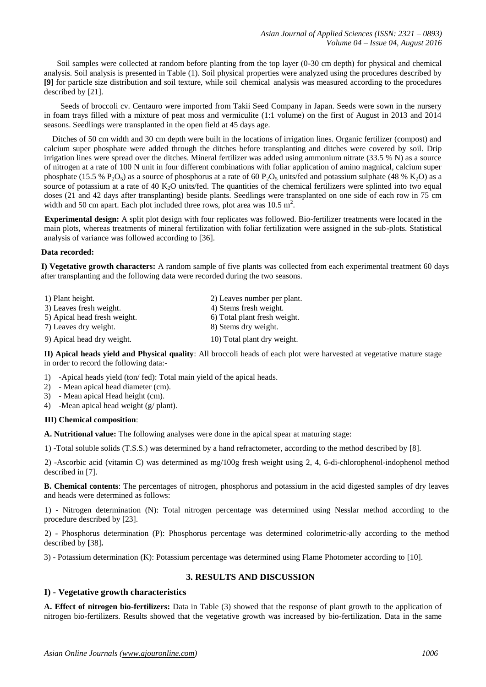Soil samples were collected at random before planting from the top layer (0-30 cm depth) for physical and chemical analysis. Soil analysis is presented in Table (1). Soil physical properties were analyzed using the procedures described by **[9]** for particle size distribution and soil texture, while soil chemical analysis was measured according to the procedures described by [21].

 Seeds of broccoli cv. Centauro were imported from Takii Seed Company in Japan. Seeds were sown in the nursery in foam trays filled with a mixture of peat moss and vermiculite (1:1 volume) on the first of August in 2013 and 2014 seasons. Seedlings were transplanted in the open field at 45 days age.

Ditches of 50 cm width and 30 cm depth were built in the locations of irrigation lines. Organic fertilizer (compost) and calcium super phosphate were added through the ditches before transplanting and ditches were covered by soil. Drip irrigation lines were spread over the ditches. Mineral fertilizer was added using ammonium nitrate (33.5 % N) as a source of nitrogen at a rate of 100 N unit in four different combinations with foliar application of amino magnical, calcium super phosphate (15.5 % P<sub>2</sub>O<sub>5</sub>) as a source of phosphorus at a rate of 60 P<sub>2</sub>O<sub>5</sub> units/fed and potassium sulphate (48 % K<sub>2</sub>O) as a source of potassium at a rate of 40 K<sub>2</sub>O units/fed. The quantities of the chemical fertilizers were splinted into two equal doses (21 and 42 days after transplanting) beside plants. Seedlings were transplanted on one side of each row in 75 cm width and 50 cm apart. Each plot included three rows, plot area was  $10.5 \text{ m}^2$ .

**Experimental design:** A split plot design with four replicates was followed. Bio-fertilizer treatments were located in the main plots, whereas treatments of mineral fertilization with foliar fertilization were assigned in the sub-plots. Statistical analysis of variance was followed according to [36].

## **Data recorded:**

**I) Vegetative growth characters:** A random sample of five plants was collected from each experimental treatment 60 days after transplanting and the following data were recorded during the two seasons.

| 1) Plant height.             | 2) Leaves number per plant.  |
|------------------------------|------------------------------|
| 3) Leaves fresh weight.      | 4) Stems fresh weight.       |
| 5) Apical head fresh weight. | 6) Total plant fresh weight. |
| 7) Leaves dry weight.        | 8) Stems dry weight.         |
| 9) Apical head dry weight.   | 10) Total plant dry weight.  |

**II) Apical heads yield and Physical quality**: All broccoli heads of each plot were harvested at vegetative mature stage in order to record the following data:-

- 1) -Apical heads yield (ton/ fed): Total main yield of the apical heads.
- 2) Mean apical head diameter (cm).
- 3) Mean apical Head height (cm).
- 4) -Mean apical head weight (g/ plant).

## **III) Chemical composition**:

**A. Nutritional value:** The following analyses were done in the apical spear at maturing stage:

1) -Total soluble solids (T.S.S.) was determined by a hand refractometer, according to the method described by [8].

2) -Ascorbic acid (vitamin C) was determined as mg/100g fresh weight using 2, 4, 6-di-chlorophenol-indophenol method described in [7].

**B. Chemical contents**: The percentages of nitrogen, phosphorus and potassium in the acid digested samples of dry leaves and heads were determined as follows:

1) - Nitrogen determination (N): Total nitrogen percentage was determined using Nesslar method according to the procedure described by [23].

2) - Phosphorus determination (P): Phosphorus percentage was determined colorimetric-ally according to the method described by **[**38]**.**

3) - Potassium determination (K): Potassium percentage was determined using Flame Photometer according to [10].

# **3. RESULTS AND DISCUSSION**

## **I) - Vegetative growth characteristics**

**A. Effect of nitrogen bio-fertilizers:** Data in Table (3) showed that the response of plant growth to the application of nitrogen bio-fertilizers. Results showed that the vegetative growth was increased by bio-fertilization. Data in the same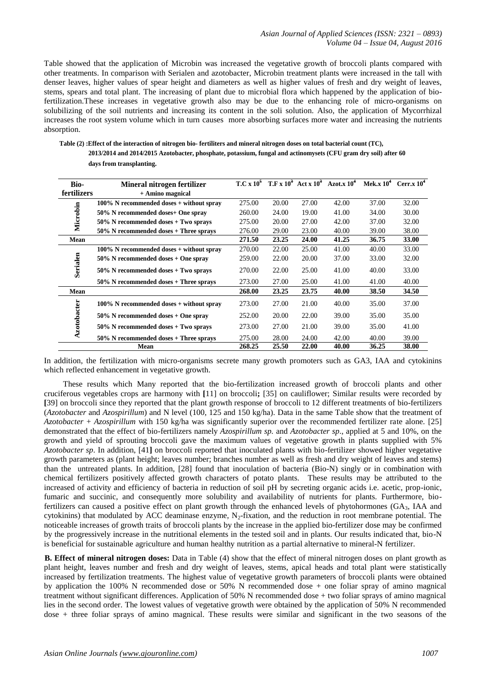Table showed that the application of Microbin was increased the vegetative growth of broccoli plants compared with other treatments. In comparison with Serialen and azotobacter, Microbin treatment plants were increased in the tall with denser leaves, higher values of spear height and diameters as well as higher values of fresh and dry weight of leaves, stems, spears and total plant. The increasing of plant due to microbial flora which happened by the application of biofertilization.These increases in vegetative growth also may be due to the enhancing role of micro-organisms on solubilizing of the soil nutrients and increasing its content in the soli solution. Also, the application of Mycorrhizal increases the root system volume which in turn causes more absorbing surfaces more water and increasing the nutrients absorption.

**Table (2) :Effect of the interaction of nitrogen bio- fertiliters and mineral nitrogen doses on total bacterial count (TC), 2013/2014 and 2014/2015 Azotobacter, phosphate, potassium, fungal and actinomysets (CFU gram dry soil) after 60 days from transplanting.** 

| Bio-        | Mineral nitrogen fertilizer                 |        |       |       | $T.C x 10^5$ $T.F x 10^3$ $Act x 10^3$ $Azot.x 10^4$ | Mek.x $10^4$ | Cerr.x $10^4$ |
|-------------|---------------------------------------------|--------|-------|-------|------------------------------------------------------|--------------|---------------|
| fertilizers | + Amino magnical                            |        |       |       |                                                      |              |               |
|             | $100\%$ N recommended doses + without spray | 275.00 | 20.00 | 27.00 | 42.00                                                | 37.00        | 32.00         |
| Microbin    | 50% N recommended doses+ One spray          | 260.00 | 24.00 | 19.00 | 41.00                                                | 34.00        | 30.00         |
|             | $50\%$ N recommended doses + Two sprays     | 275.00 | 20.00 | 27.00 | 42.00                                                | 37.00        | 32.00         |
|             | $50\%$ N recommended doses + Three sprays   | 276.00 | 29.00 | 23.00 | 40.00                                                | 39.00        | 38.00         |
| Mean        |                                             | 271.50 | 23.25 | 24.00 | 41.25                                                | 36.75        | 33.00         |
|             | $100\%$ N recommended doses + without spray | 270.00 | 22.00 | 25.00 | 41.00                                                | 40.00        | 33.00         |
|             | $50\%$ N recommended doses + One spray      | 259.00 | 22.00 | 20.00 | 37.00                                                | 33.00        | 32.00         |
| Serialen    | $50\%$ N recommended doses + Two sprays     | 270.00 | 22.00 | 25.00 | 41.00                                                | 40.00        | 33.00         |
|             | $50\%$ N recommended doses + Three sprays   | 273.00 | 27.00 | 25.00 | 41.00                                                | 41.00        | 40.00         |
| Mean        |                                             | 268.00 | 23.25 | 23.75 | 40.00                                                | 38.50        | 34.50         |
|             | $100\%$ N recommended doses + without spray | 273.00 | 27.00 | 21.00 | 40.00                                                | 35.00        | 37.00         |
|             | $50\%$ N recommended doses + One spray      | 252.00 | 20.00 | 22.00 | 39.00                                                | 35.00        | 35.00         |
| Azotobacter | $50\%$ N recommended doses + Two sprays     | 273.00 | 27.00 | 21.00 | 39.00                                                | 35.00        | 41.00         |
|             | $50\%$ N recommended doses + Three sprays   | 275.00 | 28.00 | 24.00 | 42.00                                                | 40.00        | 39.00         |
|             | Mean                                        | 268.25 | 25.50 | 22.00 | 40.00                                                | 36.25        | 38.00         |

In addition, the fertilization with micro-organisms secrete many growth promoters such as GA3, IAA and cytokinins which reflected enhancement in vegetative growth.

 These results which Many reported that the bio-fertilization increased growth of broccoli plants and other cruciferous vegetables crops are harmony with **[**11] on broccoli**;** [35] on cauliflower; Similar results were recorded by **[**39] on broccoli since they reported that the plant growth response of broccoli to 12 different treatments of bio-fertilizers (*Azotobacter* and *Azospirillum*) and N level (100, 125 and 150 kg/ha). Data in the same Table show that the treatment of *Azotobacter* + *Azospirillum* with 150 kg/ha was significantly superior over the recommended fertilizer rate alone. [25] demonstrated that the effect of bio-fertilizers namely *Azospirillum sp.* and *Azotobacter sp*., applied at 5 and 10%, on the growth and yield of sprouting broccoli gave the maximum values of vegetative growth in plants supplied with 5% *Azotobacter sp*. In addition, [41**]** on broccoli reported that inoculated plants with bio-fertilizer showed higher vegetative growth parameters as (plant height; leaves number; branches number as well as fresh and dry weight of leaves and stems) than the untreated plants. In addition, [28] found that inoculation of bacteria (Bio-N) singly or in combination with chemical fertilizers positively affected growth characters of potato plants. These results may be attributed to the increased of activity and efficiency of bacteria in reduction of soil pH by secreting organic acids i.e. acetic, prop-ionic, fumaric and succinic, and consequently more solubility and availability of nutrients for plants. Furthermore, biofertilizers can caused a positive effect on plant growth through the enhanced levels of phytohormones  $(GA_3, IAA$  and cytokinins) that modulated by ACC deaminase enzyme, N<sub>2</sub>-fixation, and the reduction in root membrane potential. The noticeable increases of growth traits of broccoli plants by the increase in the applied bio-fertilizer dose may be confirmed by the progressively increase in the nutritional elements in the tested soil and in plants. Our results indicated that, bio-N is beneficial for sustainable agriculture and human healthy nutrition as a partial alternative to mineral-N fertilizer.

**B. Effect of mineral nitrogen doses:** Data in Table (4) show that the effect of mineral nitrogen doses on plant growth as plant height, leaves number and fresh and dry weight of leaves, stems, apical heads and total plant were statistically increased by fertilization treatments. The highest value of vegetative growth parameters of broccoli plants were obtained by application the 100% N recommended dose or 50% N recommended dose + one foliar spray of amino magnical treatment without significant differences. Application of 50% N recommended dose + two foliar sprays of amino magnical lies in the second order. The lowest values of vegetative growth were obtained by the application of 50% N recommended dose + three foliar sprays of amino magnical. These results were similar and significant in the two seasons of the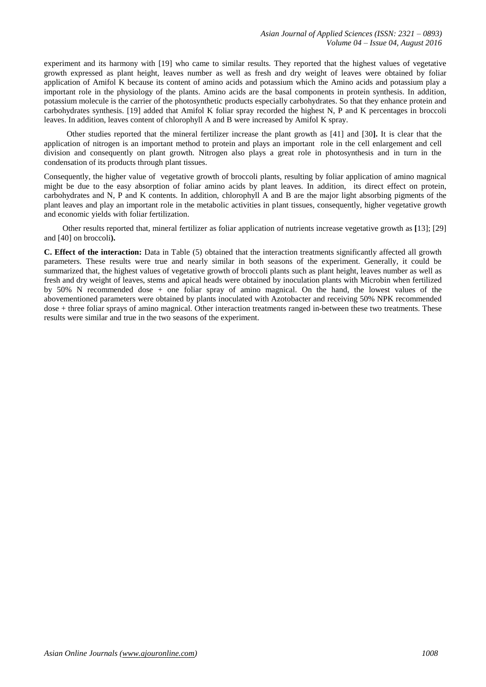experiment and its harmony with [19] who came to similar results. They reported that the highest values of vegetative growth expressed as plant height, leaves number as well as fresh and dry weight of leaves were obtained by foliar application of Amifol K because its content of amino acids and potassium which the Amino acids and potassium play a important role in the physiology of the plants. Amino acids are the basal components in protein synthesis. In addition, potassium molecule is the carrier of the photosynthetic products especially carbohydrates. So that they enhance protein and carbohydrates synthesis. [19] added that Amifol K foliar spray recorded the highest N, P and K percentages in broccoli leaves. In addition, leaves content of chlorophyll A and B were increased by Amifol K spray.

 Other studies reported that the mineral fertilizer increase the plant growth as [41] and [30**].** It is clear that the application of nitrogen is an important method to protein and plays an important role in the cell enlargement and cell division and consequently on plant growth. Nitrogen also plays a great role in photosynthesis and in turn in the condensation of its products through plant tissues.

Consequently, the higher value of vegetative growth of broccoli plants, resulting by foliar application of amino magnical might be due to the easy absorption of foliar amino acids by plant leaves. In addition, its direct effect on protein, carbohydrates and N, P and K contents. In addition, chlorophyll A and B are the major light absorbing pigments of the plant leaves and play an important role in the metabolic activities in plant tissues, consequently, higher vegetative growth and economic yields with foliar fertilization.

 Other results reported that, mineral fertilizer as foliar application of nutrients increase vegetative growth as **[**13]; [29] and [40] on broccoli**).**

**C. Effect of the interaction:** Data in Table (5) obtained that the interaction treatments significantly affected all growth parameters. These results were true and nearly similar in both seasons of the experiment. Generally, it could be summarized that, the highest values of vegetative growth of broccoli plants such as plant height, leaves number as well as fresh and dry weight of leaves, stems and apical heads were obtained by inoculation plants with Microbin when fertilized by 50% N recommended dose + one foliar spray of amino magnical. On the hand, the lowest values of the abovementioned parameters were obtained by plants inoculated with Azotobacter and receiving 50% NPK recommended dose + three foliar sprays of amino magnical. Other interaction treatments ranged in-between these two treatments. These results were similar and true in the two seasons of the experiment.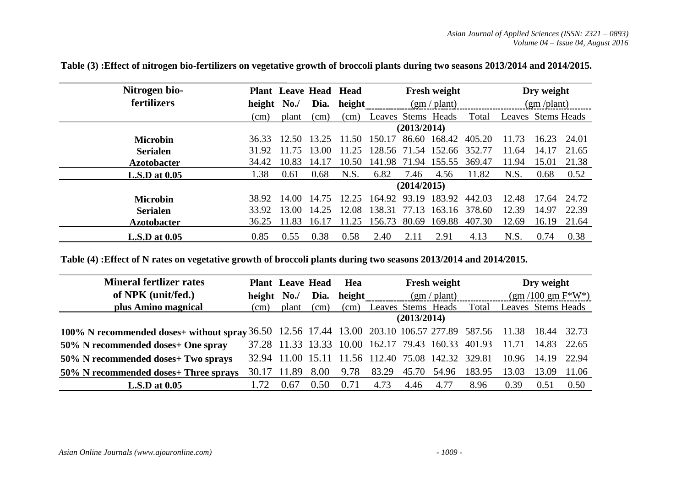| Nitrogen bio-        |        |       | <b>Plant</b> Leave Head | <b>Head</b> |                    |             | <b>Fresh weight</b> |        | Dry weight         |       |       |  |  |
|----------------------|--------|-------|-------------------------|-------------|--------------------|-------------|---------------------|--------|--------------------|-------|-------|--|--|
| fertilizers          | height | No.   | Dia.                    | height      |                    |             | (gm/plant)          |        | $(gm$ /plant)      |       |       |  |  |
|                      | (cm)   | plant | (cm)                    | (cm)        | Leaves Stems Heads |             |                     | Total  | Leaves Stems Heads |       |       |  |  |
|                      |        |       |                         | (2013/2014) |                    |             |                     |        |                    |       |       |  |  |
| <b>Microbin</b>      | 36.33  | 12.50 | 13.25                   | -50         | 150.17             | 86.60       | 168.42              | 405.20 | 11.73              | 16.23 | 24.01 |  |  |
| <b>Serialen</b>      | 31.92  | 11.75 | 13.00                   | 1.25        | 128.56             |             | 71.54 152.66        | 352.77 | 11.64              | 14.17 | 21.65 |  |  |
| <b>Azotobacter</b>   | 34.42  | 10.83 | 14.17                   | 10.50       | 141.98             |             | 71.94 155.55        | 369.47 | 11.94              | 15.01 | 21.38 |  |  |
| $L.S.D$ at $0.05$    | 1.38   | 0.61  | 0.68                    | N.S.        | 6.82               | 7.46        | 4.56                | 11.82  | N.S.               | 0.68  | 0.52  |  |  |
|                      |        |       |                         |             |                    | (2014/2015) |                     |        |                    |       |       |  |  |
| <b>Microbin</b>      | 38.92  | 14.00 | 14.75                   | 25<br>12    | 164.92             | 93.19       | 183.92              | 442.03 | 12.48              | 17.64 | 24.72 |  |  |
| <b>Serialen</b>      | 33.92  | 13.00 | 14.25                   | 12.08       | 138.31             | 77.13       | 163.16              | 378.60 | 12.39              | 14.97 | 22.39 |  |  |
| <b>Azotobacter</b>   | 36.25  | 11.83 | 16.17                   | 1.25        | 156.73             | 80.69       | 169.88              | 407.30 | 12.69              | 16.19 | 21.64 |  |  |
| <b>L.S.D</b> at 0.05 | 0.85   | 0.55  | 0.38                    | 0.58        | 2.40               | 2.11        | 2.91                | 4.13   | N.S.               | 0.74  | 0.38  |  |  |

**Table (3) :Effect of nitrogen bio-fertilizers on vegetative growth of broccoli plants during two seasons 2013/2014 and 2014/2015.** 

**Table (4) :Effect of N rates on vegetative growth of broccoli plants during two seasons 2013/2014 and 2014/2015.** 

| <b>Mineral fertlizer rates</b>                                                              |             | <b>Plant</b> Leave Head |        | Hea    |                                             |             | Fresh weight                     |        |                      | Dry weight |       |
|---------------------------------------------------------------------------------------------|-------------|-------------------------|--------|--------|---------------------------------------------|-------------|----------------------------------|--------|----------------------|------------|-------|
| of NPK (unit/fed.)                                                                          | height      | No.                     | Dia.   | height |                                             |             | $(gm / \text{plant})$            |        | $(gm / 100 gm F*W*)$ |            |       |
| plus Amino magnical                                                                         | (cm)        | plant                   | (cm)   | (cm)   | Leaves Stems Heads                          |             |                                  | Total  | Leaves Stems Heads   |            |       |
|                                                                                             |             |                         |        |        |                                             | (2013/2014) |                                  |        |                      |            |       |
| 100% N recommended doses+ without spray 36.50 12.56 17.44 13.00 203.10 106.57 277.89 587.56 |             |                         |        |        |                                             |             |                                  |        | 11.38 18.44 32.73    |            |       |
| 50% N recommended doses+ One spray                                                          |             |                         |        |        | 37.28 11.33 13.33 10.00 162.17 79.43 160.33 |             |                                  | 401.93 | 11.71                | 14.83      | 22.65 |
| 50% N recommended doses+ Two sprays                                                         | 32.94 11.00 |                         | 15.11  |        |                                             |             | 11.56 112.40 75.08 142.32 329.81 |        | 10.96 14.19          |            | 22.94 |
| 50% N recommended doses+ Three sprays                                                       | 30.17       | 11.89                   | 8.00   | 9.78   | 83.29                                       | 45.70       | 54.96                            | 183.95 | 13.03                | 13.09      | 11.06 |
| $L.S.D$ at $0.05$                                                                           |             | 0.67                    | (0.50) | 0.71   | 4.73                                        | 4.46        | 4.77                             | 8.96   | 0.39                 | 0.51       | 0.50  |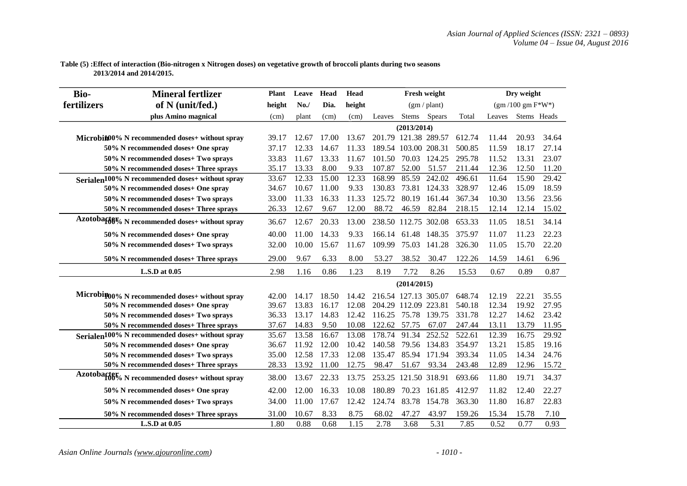## **Table (5) :Effect of interaction (Bio-nitrogen x Nitrogen doses) on vegetative growth of broccoli plants during two seasons 2013/2014 and 2014/2015.**

| <b>Bio-</b> | <b>Mineral fertlizer</b>                                    | <b>Plant</b> | Leave | Head  | Head   |        |                      | Fresh weight          |        |        | Dry weight         |       |
|-------------|-------------------------------------------------------------|--------------|-------|-------|--------|--------|----------------------|-----------------------|--------|--------|--------------------|-------|
| fertilizers | of N (unit/fed.)                                            | height       | No.   | Dia.  | height |        |                      | $(gm / \text{plant})$ |        |        | $(gm/100 gm F*W*)$ |       |
|             | plus Amino magnical                                         | (cm)         | plant | (cm)  | (cm)   | Leaves |                      | Stems Spears          | Total  | Leaves | Stems Heads        |       |
|             |                                                             |              |       |       |        |        | (2013/2014)          |                       |        |        |                    |       |
|             | Microbin00% N recommended doses+ without spray              | 39.17        | 12.67 | 17.00 | 13.67  |        |                      | 201.79 121.38 289.57  | 612.74 | 11.44  | 20.93              | 34.64 |
|             | 50% N recommended doses+ One spray                          | 37.17        | 12.33 | 14.67 | 11.33  |        | 189.54 103.00 208.31 |                       | 500.85 | 11.59  | 18.17              | 27.14 |
|             | 50% N recommended doses+ Two sprays                         | 33.83        | 11.67 | 13.33 | 11.67  | 101.50 | 70.03                | 124.25                | 295.78 | 11.52  | 13.31              | 23.07 |
|             | 50% N recommended doses+ Three sprays                       | 35.17        | 13.33 | 8.00  | 9.33   | 107.87 | 52.00                | 51.57                 | 211.44 | 12.36  | 12.50              | 11.20 |
|             | Serialen <sup>100%</sup> N recommended doses+ without spray | 33.67        | 12.33 | 15.00 | 12.33  | 168.99 | 85.59                | 242.02                | 496.61 | 11.64  | 15.90              | 29.42 |
|             | 50% N recommended doses+ One spray                          | 34.67        | 10.67 | 11.00 | 9.33   | 130.83 |                      | 73.81 124.33          | 328.97 | 12.46  | 15.09              | 18.59 |
|             | 50% N recommended doses+ Two sprays                         | 33.00        | 11.33 | 16.33 | 11.33  | 125.72 | 80.19                | 161.44                | 367.34 | 10.30  | 13.56              | 23.56 |
|             | 50% N recommended doses+ Three sprays                       | 26.33        | 12.67 | 9.67  | 12.00  | 88.72  | 46.59                | 82.84                 | 218.15 | 12.14  | 12.14              | 15.02 |
|             | Azotobaf66% N recommended doses+ without spray              | 36.67        | 12.67 | 20.33 | 13.00  |        |                      | 238.50 112.75 302.08  | 653.33 | 11.05  | 18.51              | 34.14 |
|             | 50% N recommended doses+ One spray                          | 40.00        | 11.00 | 14.33 | 9.33   | 166.14 | 61.48                | 148.35                | 375.97 | 11.07  | 11.23              | 22.23 |
|             | 50% N recommended doses+ Two sprays                         | 32.00        | 10.00 | 15.67 | 11.67  | 109.99 | 75.03                | 141.28                | 326.30 | 11.05  | 15.70              | 22.20 |
|             | 50% N recommended doses+ Three sprays                       | 29.00        | 9.67  | 6.33  | 8.00   | 53.27  | 38.52                | 30.47                 | 122.26 | 14.59  | 14.61              | 6.96  |
|             | L.S.D at 0.05                                               | 2.98         | 1.16  | 0.86  | 1.23   | 8.19   | 7.72                 | 8.26                  | 15.53  | 0.67   | 0.89               | 0.87  |
|             |                                                             |              |       |       |        |        | (2014/2015)          |                       |        |        |                    |       |
|             | Microbin00% N recommended doses+ without spray              | 42.00        | 14.17 | 18.50 | 14.42  |        |                      | 216.54 127.13 305.07  | 648.74 | 12.19  | 22.21              | 35.55 |
|             | 50% N recommended doses+ One spray                          | 39.67        | 13.83 | 16.17 | 12.08  |        |                      | 204.29 112.09 223.81  | 540.18 | 12.34  | 19.92              | 27.95 |
|             | 50% N recommended doses+ Two sprays                         | 36.33        | 13.17 | 14.83 | 12.42  | 116.25 | 75.78                | 139.75                | 331.78 | 12.27  | 14.62              | 23.42 |
|             | 50% N recommended doses+ Three sprays                       | 37.67        | 14.83 | 9.50  | 10.08  | 122.62 | 57.75                | 67.07                 | 247.44 | 13.11  | 13.79              | 11.95 |
|             | Serialen <sup>100%</sup> N recommended doses+ without spray | 35.67        | 13.58 | 16.67 | 13.08  | 178.74 | 91.34                | 252.52                | 522.61 | 12.39  | 16.75              | 29.92 |
|             | 50% N recommended doses+ One spray                          | 36.67        | 11.92 | 12.00 | 10.42  | 140.58 |                      | 79.56 134.83          | 354.97 | 13.21  | 15.85              | 19.16 |
|             | 50% N recommended doses+ Two sprays                         | 35.00        | 12.58 | 17.33 | 12.08  | 135.47 | 85.94                | 171.94                | 393.34 | 11.05  | 14.34              | 24.76 |
|             | 50% N recommended doses+ Three sprays                       | 28.33        | 13.92 | 11.00 | 12.75  | 98.47  | 51.67                | 93.34                 | 243.48 | 12.89  | 12.96              | 15.72 |
|             | Azotobactor N recommended doses+ without spray              | 38.00        | 13.67 | 22.33 | 13.75  | 253.25 |                      | 121.50 318.91         | 693.66 | 11.80  | 19.71              | 34.37 |
|             | 50% N recommended doses+ One spray                          | 42.00        | 12.00 | 16.33 | 10.08  | 180.89 | 70.23                | 161.85                | 412.97 | 11.82  | 12.40              | 22.27 |
|             | 50% N recommended doses+ Two sprays                         | 34.00        | 11.00 | 17.67 | 12.42  | 124.74 | 83.78                | 154.78                | 363.30 | 11.80  | 16.87              | 22.83 |
|             | 50% N recommended doses+ Three sprays                       | 31.00        | 10.67 | 8.33  | 8.75   | 68.02  | 47.27                | 43.97                 | 159.26 | 15.34  | 15.78              | 7.10  |
|             | L.S.D at 0.05                                               | 1.80         | 0.88  | 0.68  | 1.15   | 2.78   | 3.68                 | 5.31                  | 7.85   | 0.52   | 0.77               | 0.93  |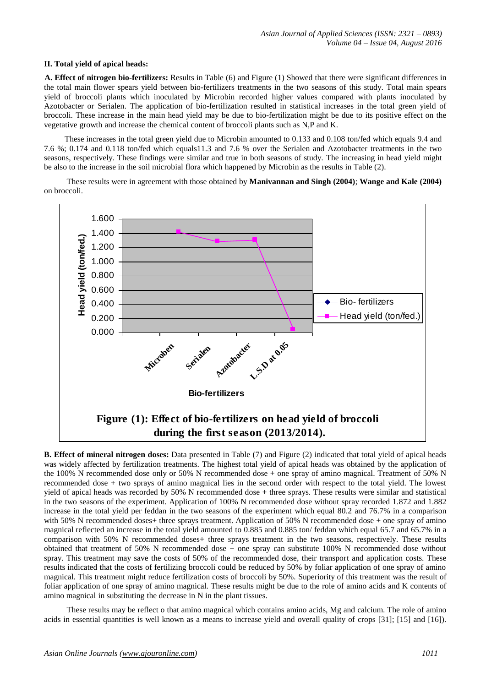#### **II. Total yield of apical heads:**

**A. Effect of nitrogen bio-fertilizers:** Results in Table (6) and Figure (1) Showed that there were significant differences in the total main flower spears yield between bio-fertilizers treatments in the two seasons of this study. Total main spears yield of broccoli plants which inoculated by Microbin recorded higher values compared with plants inoculated by Azotobacter or Serialen. The application of bio-fertilization resulted in statistical increases in the total green yield of broccoli. These increase in the main head yield may be due to bio-fertilization might be due to its positive effect on the vegetative growth and increase the chemical content of broccoli plants such as N,P and K.

 These increases in the total green yield due to Microbin amounted to 0.133 and 0.108 ton/fed which equals 9.4 and 7.6 %; 0.174 and 0.118 ton/fed which equals11.3 and 7.6 % over the Serialen and Azotobacter treatments in the two seasons, respectively. These findings were similar and true in both seasons of study. The increasing in head yield might be also to the increase in the soil microbial flora which happened by Microbin as the results in Table (2).

 These results were in agreement with those obtained by **Manivannan and Singh (2004)**; **Wange and Kale (2004)** on broccoli.



**B. Effect of mineral nitrogen doses:** Data presented in Table (7) and Figure (2) indicated that total yield of apical heads was widely affected by fertilization treatments. The highest total yield of apical heads was obtained by the application of the 100% N recommended dose only or 50% N recommended dose + one spray of amino magnical. Treatment of 50% N recommended dose + two sprays of amino magnical lies in the second order with respect to the total yield. The lowest yield of apical heads was recorded by 50% N recommended dose + three sprays. These results were similar and statistical in the two seasons of the experiment. Application of 100% N recommended dose without spray recorded 1.872 and 1.882 increase in the total yield per feddan in the two seasons of the experiment which equal 80.2 and 76.7% in a comparison with 50% N recommended doses+ three sprays treatment. Application of 50% N recommended dose + one spray of amino magnical reflected an increase in the total yield amounted to 0.885 and 0.885 ton/ feddan which equal 65.7 and 65.7% in a comparison with 50% N recommended doses+ three sprays treatment in the two seasons, respectively. These results obtained that treatment of 50% N recommended dose + one spray can substitute 100% N recommended dose without spray. This treatment may save the costs of 50% of the recommended dose, their transport and application costs. These results indicated that the costs of fertilizing broccoli could be reduced by 50% by foliar application of one spray of amino magnical. This treatment might reduce fertilization costs of broccoli by 50%. Superiority of this treatment was the result of foliar application of one spray of amino magnical. These results might be due to the role of amino acids and K contents of amino magnical in substituting the decrease in N in the plant tissues.

 These results may be reflect o that amino magnical which contains amino acids, Mg and calcium. The role of amino acids in essential quantities is well known as a means to increase yield and overall quality of crops [31]; [15] and [16]).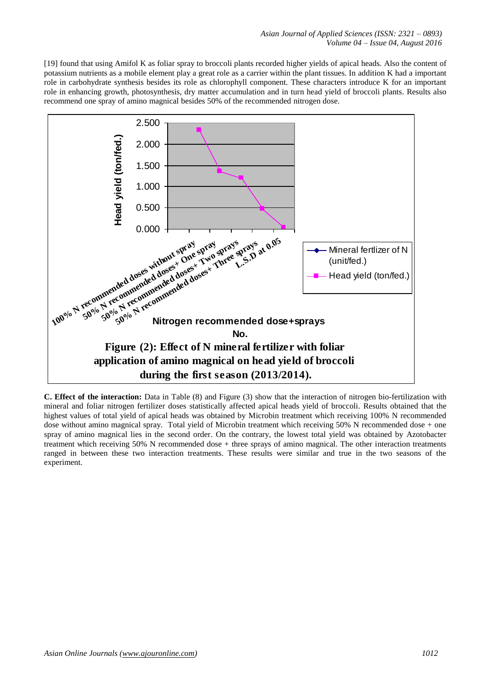[19] found that using Amifol K as foliar spray to broccoli plants recorded higher yields of apical heads. Also the content of potassium nutrients as a mobile element play a great role as a carrier within the plant tissues. In addition K had a important role in carbohydrate synthesis besides its role as chlorophyll component. These characters introduce K for an important role in enhancing growth, photosynthesis, dry matter accumulation and in turn head yield of broccoli plants. Results also recommend one spray of amino magnical besides 50% of the recommended nitrogen dose.



**C. Effect of the interaction:** Data in Table (8) and Figure (3) show that the interaction of nitrogen bio-fertilization with mineral and foliar nitrogen fertilizer doses statistically affected apical heads yield of broccoli. Results obtained that the highest values of total yield of apical heads was obtained by Microbin treatment which receiving 100% N recommended dose without amino magnical spray. Total yield of Microbin treatment which receiving 50% N recommended dose + one spray of amino magnical lies in the second order. On the contrary, the lowest total yield was obtained by Azotobacter treatment which receiving 50% N recommended dose + three sprays of amino magnical. The other interaction treatments ranged in between these two interaction treatments. These results were similar and true in the two seasons of the experiment.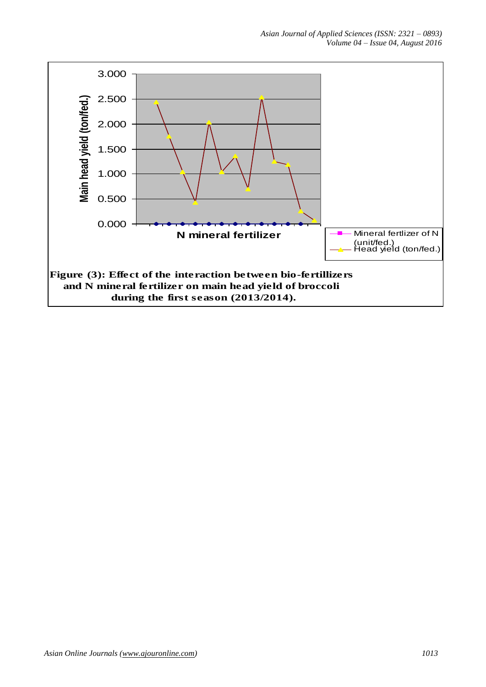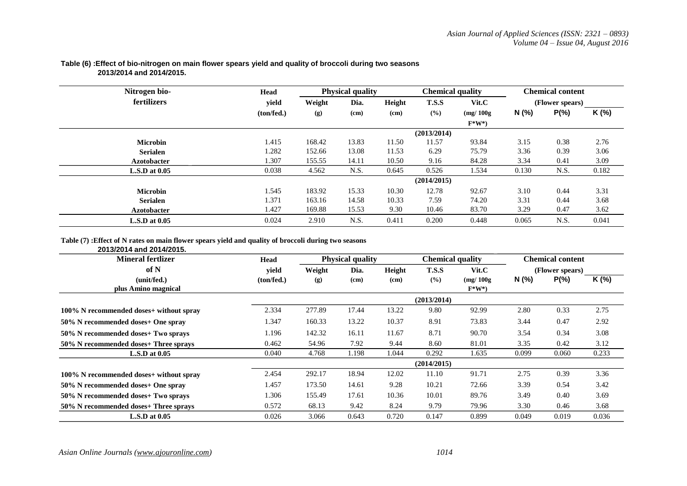| Nitrogen bio-      | Head       |        | <b>Physical quality</b> |        | <b>Chemical quality</b> |           | <b>Chemical content</b> |                 |       |  |  |  |  |
|--------------------|------------|--------|-------------------------|--------|-------------------------|-----------|-------------------------|-----------------|-------|--|--|--|--|
| fertilizers        | yield      | Weight | Dia.                    | Height | <b>T.S.S</b>            | Vit.C     |                         | (Flower spears) |       |  |  |  |  |
|                    | (ton/fed.) | (g)    | (cm)                    | (cm)   | (%)                     | (mg/100g) | N (%)                   | $P(\% )$        | K (%) |  |  |  |  |
|                    |            |        |                         |        |                         | $F^*W^*$  |                         |                 |       |  |  |  |  |
|                    |            |        | (2013/2014)             |        |                         |           |                         |                 |       |  |  |  |  |
| <b>Microbin</b>    | 1.415      | 168.42 | 13.83                   | 11.50  | 11.57                   | 93.84     | 3.15                    | 0.38            | 2.76  |  |  |  |  |
| <b>Serialen</b>    | 1.282      | 152.66 | 13.08                   | 11.53  | 6.29                    | 75.79     | 3.36                    | 0.39            | 3.06  |  |  |  |  |
| <b>Azotobacter</b> | 1.307      | 155.55 | 14.11                   | 10.50  | 9.16                    | 84.28     | 3.34                    | 0.41            | 3.09  |  |  |  |  |
| $L.S.D$ at $0.05$  | 0.038      | 4.562  | N.S.                    | 0.645  | 0.526                   | 1.534     | 0.130                   | N.S.            | 0.182 |  |  |  |  |
|                    |            |        |                         |        | (2014/2015)             |           |                         |                 |       |  |  |  |  |
| <b>Microbin</b>    | 1.545      | 183.92 | 15.33                   | 10.30  | 12.78                   | 92.67     | 3.10                    | 0.44            | 3.31  |  |  |  |  |
| <b>Serialen</b>    | 1.371      | 163.16 | 14.58                   | 10.33  | 7.59                    | 74.20     | 3.31                    | 0.44            | 3.68  |  |  |  |  |
| <b>Azotobacter</b> | 1.427      | 169.88 | 15.53                   | 9.30   | 10.46                   | 83.70     | 3.29                    | 0.47            | 3.62  |  |  |  |  |
| $L.S.D$ at $0.05$  | 0.024      | 2.910  | N.S.                    | 0.411  | 0.200                   | 0.448     | 0.065                   | N.S.            | 0.041 |  |  |  |  |

## **Table (6) :Effect of bio-nitrogen on main flower spears yield and quality of broccoli during two seasons 2013/2014 and 2014/2015.**

## **Table (7) :Effect of N rates on main flower spears yield and quality of broccoli during two seasons**

#### **2013/2014 and 2014/2015.**

| <b>Mineral fertlizer</b>                | Head       |        | <b>Physical quality</b> |        | <b>Chemical quality</b> |           |       | <b>Chemical content</b> |       |
|-----------------------------------------|------------|--------|-------------------------|--------|-------------------------|-----------|-------|-------------------------|-------|
| of N                                    | vield      | Weight | Dia.                    | Height | <b>T.S.S</b>            | Vit.C     |       | (Flower spears)         |       |
| (unit/fed.)                             | (ton/fed.) | (g)    | (cm)                    | (cm)   | (9/0)                   | (mg/100g) | N (%) | $P(\% )$                | K (%) |
| plus Amino magnical                     |            |        |                         |        |                         | $F^*W^*$  |       |                         |       |
|                                         |            |        |                         |        | (2013/2014)             |           |       |                         |       |
| 100% N recommended doses+ without spray | 2.334      | 277.89 | 17.44                   | 13.22  | 9.80                    | 92.99     | 2.80  | 0.33                    | 2.75  |
| 50% N recommended doses+ One spray      | 1.347      | 160.33 | 13.22                   | 10.37  | 8.91                    | 73.83     | 3.44  | 0.47                    | 2.92  |
| 50% N recommended doses+ Two sprays     | 1.196      | 142.32 | 16.11                   | 11.67  | 8.71                    | 90.70     | 3.54  | 0.34                    | 3.08  |
| 50% N recommended doses+ Three sprays   | 0.462      | 54.96  | 7.92                    | 9.44   | 8.60                    | 81.01     | 3.35  | 0.42                    | 3.12  |
| $L.S.D$ at $0.05$                       | 0.040      | 4.768  | 1.198                   | 1.044  | 0.292                   | 1.635     | 0.099 | 0.060                   | 0.233 |
|                                         |            |        |                         |        | (2014/2015)             |           |       |                         |       |
| 100% N recommended doses+ without spray | 2.454      | 292.17 | 18.94                   | 12.02  | 11.10                   | 91.71     | 2.75  | 0.39                    | 3.36  |
| 50% N recommended doses+ One spray      | 1.457      | 173.50 | 14.61                   | 9.28   | 10.21                   | 72.66     | 3.39  | 0.54                    | 3.42  |
| 50% N recommended doses+ Two sprays     | 1.306      | 155.49 | 17.61                   | 10.36  | 10.01                   | 89.76     | 3.49  | 0.40                    | 3.69  |
| 50% N recommended doses+ Three sprays   | 0.572      | 68.13  | 9.42                    | 8.24   | 9.79                    | 79.96     | 3.30  | 0.46                    | 3.68  |
| $L.S.D$ at $0.05$                       | 0.026      | 3.066  | 0.643                   | 0.720  | 0.147                   | 0.899     | 0.049 | 0.019                   | 0.036 |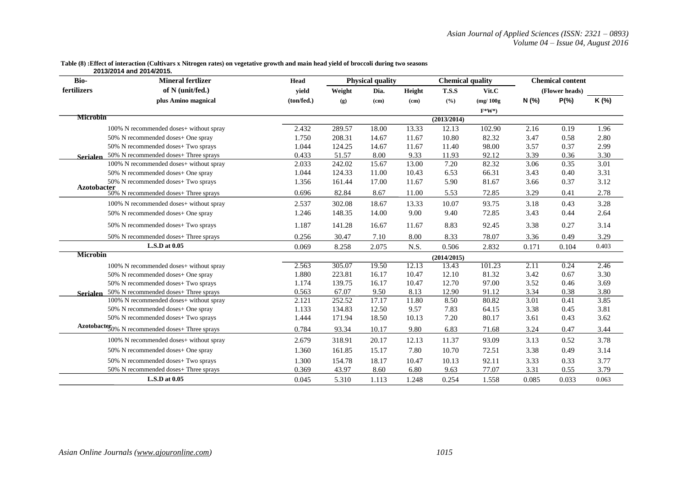#### **Table (8) :Effect of interaction (Cultivars x Nitrogen rates) on vegetative growth and main head yield of broccoli during two seasons**

 **2013/2014 and 2014/2015.** 

| Bio-            | <b>Mineral fertlizer</b>                                                | Head       |        | <b>Physical quality</b> |        | <b>Chemical quality</b> |           | <b>Chemical content</b> |                |       |
|-----------------|-------------------------------------------------------------------------|------------|--------|-------------------------|--------|-------------------------|-----------|-------------------------|----------------|-------|
| fertilizers     | of N (unit/fed.)                                                        | yield      | Weight | Dia.                    | Height | <b>T.S.S</b>            | Vit.C     |                         | (Flower heads) |       |
|                 | plus Amino magnical                                                     | (ton/fed.) | (g)    | (cm)                    | (cm)   | (%)                     | (mg/100g) | N(%                     | $P(\% )$       | K (%) |
|                 |                                                                         |            |        |                         |        |                         | $F^*W^*$  |                         |                |       |
| <b>Microbin</b> |                                                                         |            |        |                         |        | (2013/2014)             |           |                         |                |       |
|                 | 100% N recommended doses+ without spray                                 | 2.432      | 289.57 | 18.00                   | 13.33  | 12.13                   | 102.90    | 2.16                    | 0.19           | 1.96  |
|                 | 50% N recommended doses+ One spray                                      | 1.750      | 208.31 | 14.67                   | 11.67  | 10.80                   | 82.32     | 3.47                    | 0.58           | 2.80  |
|                 | 50% N recommended doses+ Two sprays                                     | 1.044      | 124.25 | 14.67                   | 11.67  | 11.40                   | 98.00     | 3.57                    | 0.37           | 2.99  |
| <b>Serialen</b> | 50% N recommended doses+ Three sprays                                   | 0.433      | 51.57  | 8.00                    | 9.33   | 11.93                   | 92.12     | 3.39                    | 0.36           | 3.30  |
|                 | 100% N recommended doses+ without spray                                 | 2.033      | 242.02 | 15.67                   | 13.00  | 7.20                    | 82.32     | 3.06                    | 0.35           | 3.01  |
|                 | 50% N recommended doses+ One spray                                      | 1.044      | 124.33 | 11.00                   | 10.43  | 6.53                    | 66.31     | 3.43                    | 0.40           | 3.31  |
|                 | 50% N recommended doses+ Two sprays                                     | 1.356      | 161.44 | 17.00                   | 11.67  | 5.90                    | 81.67     | 3.66                    | 0.37           | 3.12  |
| Azotobacter     | 50% N recommended doses+ Three sprays                                   | 0.696      | 82.84  | 8.67                    | 11.00  | 5.53                    | 72.85     | 3.29                    | 0.41           | 2.78  |
|                 | 100% N recommended doses+ without spray                                 | 2.537      | 302.08 | 18.67                   | 13.33  | 10.07                   | 93.75     | 3.18                    | 0.43           | 3.28  |
|                 | 50% N recommended doses+ One spray                                      | 1.246      | 148.35 | 14.00                   | 9.00   | 9.40                    | 72.85     | 3.43                    | 0.44           | 2.64  |
|                 | 50% N recommended doses+ Two sprays                                     | 1.187      | 141.28 | 16.67                   | 11.67  | 8.83                    | 92.45     | 3.38                    | 0.27           | 3.14  |
|                 | 50% N recommended doses+ Three sprays                                   | 0.256      | 30.47  | 7.10                    | 8.00   | 8.33                    | 78.07     | 3.36                    | 0.49           | 3.29  |
|                 | L.S.D at 0.05                                                           | 0.069      | 8.258  | 2.075                   | N.S.   | 0.506                   | 2.832     | 0.171                   | 0.104          | 0.403 |
| <b>Microbin</b> |                                                                         |            |        |                         |        | (2014/2015)             |           |                         |                |       |
|                 | 100% N recommended doses+ without spray                                 | 2.563      | 305.07 | 19.50                   | 12.13  | 13.43                   | 101.23    | 2.11                    | 0.24           | 2.46  |
|                 | 50% N recommended doses+ One spray                                      | 1.880      | 223.81 | 16.17                   | 10.47  | 12.10                   | 81.32     | 3.42                    | 0.67           | 3.30  |
|                 | 50% N recommended doses+ Two sprays                                     | 1.174      | 139.75 | 16.17                   | 10.47  | 12.70                   | 97.00     | 3.52                    | 0.46           | 3.69  |
| <b>Serialen</b> | 50% N recommended doses+ Three sprays                                   | 0.563      | 67.07  | 9.50                    | 8.13   | 12.90                   | 91.12     | 3.34                    | 0.38           | 3.80  |
|                 | 100% N recommended doses+ without spray                                 | 2.121      | 252.52 | 17.17                   | 11.80  | 8.50                    | 80.82     | 3.01                    | 0.41           | 3.85  |
|                 | 50% N recommended doses+ One spray                                      | 1.133      | 134.83 | 12.50                   | 9.57   | 7.83                    | 64.15     | 3.38                    | 0.45           | 3.81  |
|                 | 50% N recommended doses+ Two sprays                                     | 1.444      | 171.94 | 18.50                   | 10.13  | 7.20                    | 80.17     | 3.61                    | 0.43           | 3.62  |
|                 | Azotobacter <sub>0%</sub> N <sub>_recommended</sub> doses+ Three sprays | 0.784      | 93.34  | 10.17                   | 9.80   | 6.83                    | 71.68     | 3.24                    | 0.47           | 3.44  |
|                 | 100% N recommended doses+ without spray                                 | 2.679      | 318.91 | 20.17                   | 12.13  | 11.37                   | 93.09     | 3.13                    | 0.52           | 3.78  |
|                 | 50% N recommended doses+ One spray                                      | 1.360      | 161.85 | 15.17                   | 7.80   | 10.70                   | 72.51     | 3.38                    | 0.49           | 3.14  |
|                 | 50% N recommended doses+ Two sprays                                     | 1.300      | 154.78 | 18.17                   | 10.47  | 10.13                   | 92.11     | 3.33                    | 0.33           | 3.77  |
|                 | 50% N recommended doses+ Three sprays                                   | 0.369      | 43.97  | 8.60                    | 6.80   | 9.63                    | 77.07     | 3.31                    | 0.55           | 3.79  |
|                 | L.S.D at 0.05                                                           | 0.045      | 5.310  | 1.113                   | 1.248  | 0.254                   | 1.558     | 0.085                   | 0.033          | 0.063 |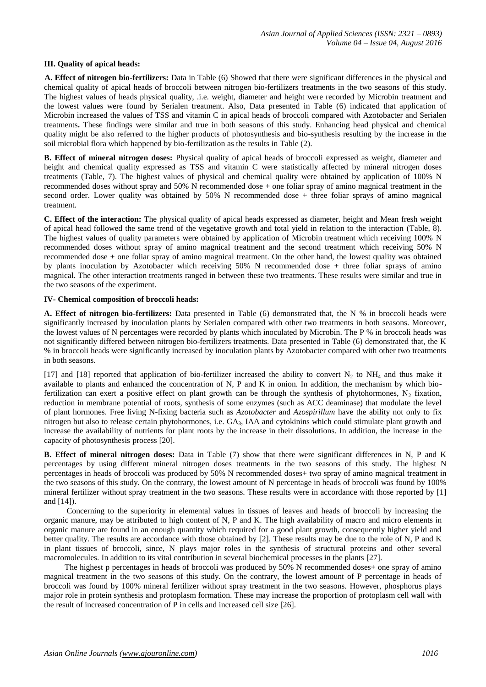#### **III. Quality of apical heads:**

**A. Effect of nitrogen bio-fertilizers:** Data in Table (6) Showed that there were significant differences in the physical and chemical quality of apical heads of broccoli between nitrogen bio-fertilizers treatments in the two seasons of this study. The highest values of heads physical quality, .i.e. weight, diameter and height were recorded by Microbin treatment and the lowest values were found by Serialen treatment. Also, Data presented in Table (6) indicated that application of Microbin increased the values of TSS and vitamin C in apical heads of broccoli compared with Azotobacter and Serialen treatments**.** These findings were similar and true in both seasons of this study. Enhancing head physical and chemical quality might be also referred to the higher products of photosynthesis and bio-synthesis resulting by the increase in the soil microbial flora which happened by bio-fertilization as the results in Table (2).

**B. Effect of mineral nitrogen doses:** Physical quality of apical heads of broccoli expressed as weight, diameter and height and chemical quality expressed as TSS and vitamin C were statistically affected by mineral nitrogen doses treatments (Table, 7). The highest values of physical and chemical quality were obtained by application of 100% N recommended doses without spray and 50% N recommended dose + one foliar spray of amino magnical treatment in the second order. Lower quality was obtained by 50% N recommended dose + three foliar sprays of amino magnical treatment.

**C. Effect of the interaction:** The physical quality of apical heads expressed as diameter, height and Mean fresh weight of apical head followed the same trend of the vegetative growth and total yield in relation to the interaction (Table, 8). The highest values of quality parameters were obtained by application of Microbin treatment which receiving 100% N recommended doses without spray of amino magnical treatment and the second treatment which receiving 50% N recommended dose + one foliar spray of amino magnical treatment. On the other hand, the lowest quality was obtained by plants inoculation by Azotobacter which receiving 50% N recommended dose + three foliar sprays of amino magnical. The other interaction treatments ranged in between these two treatments. These results were similar and true in the two seasons of the experiment.

#### **IV- Chemical composition of broccoli heads:**

**A. Effect of nitrogen bio-fertilizers:** Data presented in Table (6) demonstrated that, the N % in broccoli heads were significantly increased by inoculation plants by Serialen compared with other two treatments in both seasons. Moreover, the lowest values of N percentages were recorded by plants which inoculated by Microbin. The P % in broccoli heads was not significantly differed between nitrogen bio-fertilizers treatments. Data presented in Table (6) demonstrated that, the K % in broccoli heads were significantly increased by inoculation plants by Azotobacter compared with other two treatments in both seasons.

[17] and [18] reported that application of bio-fertilizer increased the ability to convert  $N_2$  to  $NH_4$  and thus make it available to plants and enhanced the concentration of N, P and K in onion. In addition, the mechanism by which biofertilization can exert a positive effect on plant growth can be through the synthesis of phytohormones,  $N_2$  fixation, reduction in membrane potential of roots, synthesis of some enzymes (such as ACC deaminase) that modulate the level of plant hormones. Free living N-fixing bacteria such as *Azotobacter* and *Azospirillum* have the ability not only to fix nitrogen but also to release certain phytohormones, i.e. GA3, IAA and cytokinins which could stimulate plant growth and increase the availability of nutrients for plant roots by the increase in their dissolutions. In addition, the increase in the capacity of photosynthesis process [20].

**B. Effect of mineral nitrogen doses:** Data in Table (7) show that there were significant differences in N, P and K percentages by using different mineral nitrogen doses treatments in the two seasons of this study. The highest N percentages in heads of broccoli was produced by 50% N recommended doses+ two spray of amino magnical treatment in the two seasons of this study. On the contrary, the lowest amount of N percentage in heads of broccoli was found by 100% mineral fertilizer without spray treatment in the two seasons. These results were in accordance with those reported by [1] and [14]).

 Concerning to the superiority in elemental values in tissues of leaves and heads of broccoli by increasing the organic manure, may be attributed to high content of N, P and K. The high availability of macro and micro elements in organic manure are found in an enough quantity which required for a good plant growth, consequently higher yield and better quality. The results are accordance with those obtained by [2]. These results may be due to the role of N, P and K in plant tissues of broccoli, since, N plays major roles in the synthesis of structural proteins and other several macromolecules. In addition to its vital contribution in several biochemical processes in the plants [27].

 The highest p percentages in heads of broccoli was produced by 50% N recommended doses+ one spray of amino magnical treatment in the two seasons of this study. On the contrary, the lowest amount of P percentage in heads of broccoli was found by 100% mineral fertilizer without spray treatment in the two seasons. However, phosphorus plays major role in protein synthesis and protoplasm formation. These may increase the proportion of protoplasm cell wall with the result of increased concentration of P in cells and increased cell size [26].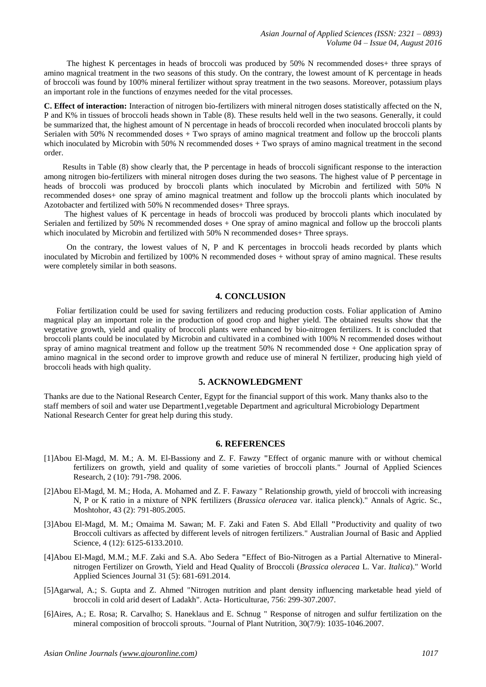The highest K percentages in heads of broccoli was produced by 50% N recommended doses+ three sprays of amino magnical treatment in the two seasons of this study. On the contrary, the lowest amount of K percentage in heads of broccoli was found by 100% mineral fertilizer without spray treatment in the two seasons. Moreover, potassium plays an important role in the functions of enzymes needed for the vital processes.

**C. Effect of interaction:** Interaction of nitrogen bio-fertilizers with mineral nitrogen doses statistically affected on the N, P and K% in tissues of broccoli heads shown in Table (8). These results held well in the two seasons. Generally, it could be summarized that, the highest amount of N percentage in heads of broccoli recorded when inoculated broccoli plants by Serialen with 50% N recommended doses + Two sprays of amino magnical treatment and follow up the broccoli plants which inoculated by Microbin with 50% N recommended doses + Two sprays of amino magnical treatment in the second order.

Results in Table (8) show clearly that, the P percentage in heads of broccoli significant response to the interaction among nitrogen bio-fertilizers with mineral nitrogen doses during the two seasons. The highest value of P percentage in heads of broccoli was produced by broccoli plants which inoculated by Microbin and fertilized with 50% N recommended doses+ one spray of amino magnical treatment and follow up the broccoli plants which inoculated by Azotobacter and fertilized with 50% N recommended doses+ Three sprays.

 The highest values of K percentage in heads of broccoli was produced by broccoli plants which inoculated by Serialen and fertilized by 50% N recommended doses + One spray of amino magnical and follow up the broccoli plants which inoculated by Microbin and fertilized with 50% N recommended doses+ Three sprays.

 On the contrary, the lowest values of N, P and K percentages in broccoli heads recorded by plants which inoculated by Microbin and fertilized by 100% N recommended doses + without spray of amino magnical. These results were completely similar in both seasons.

#### **4. CONCLUSION**

 Foliar fertilization could be used for saving fertilizers and reducing production costs. Foliar application of Amino magnical play an important role in the production of good crop and higher yield. The obtained results show that the vegetative growth, yield and quality of broccoli plants were enhanced by bio-nitrogen fertilizers. It is concluded that broccoli plants could be inoculated by Microbin and cultivated in a combined with 100% N recommended doses without spray of amino magnical treatment and follow up the treatment 50% N recommended dose + One application spray of amino magnical in the second order to improve growth and reduce use of mineral N fertilizer, producing high yield of broccoli heads with high quality.

#### **5. ACKNOWLEDGMENT**

Thanks are due to the National Research Center, Egypt for the financial support of this work. Many thanks also to the staff members of soil and water use Department1, vegetable Department and agricultural Microbiology Department National Research Center for great help during this study.

#### **6. REFERENCES**

- [1]Abou El-Magd, M. M.; A. M. El-Bassiony and Z. F. Fawzy **"**Effect of organic manure with or without chemical fertilizers on growth, yield and quality of some varieties of broccoli plants." Journal of Applied Sciences Research, 2 (10): 791-798. 2006.
- [2]Abou El-Magd, M. M.; Hoda, A. Mohamed and Z. F. Fawazy " Relationship growth, yield of broccoli with increasing N, P or K ratio in a mixture of NPK fertilizers (*Brassica oleracea* var. italica plenck)." Annals of Agric. Sc., Moshtohor, 43 (2): 791-805.2005.
- [3]Abou El-Magd, M. M.; Omaima M. Sawan; M. F. Zaki and Faten S. Abd Ellall **"**Productivity and quality of two Broccoli cultivars as affected by different levels of nitrogen fertilizers." Australian Journal of Basic and Applied Science, 4 (12): 6125-6133.2010.
- [4]Abou El-Magd, M.M.; M.F. Zaki and S.A. Abo Sedera **"**Effect of Bio-Nitrogen as a Partial Alternative to Mineralnitrogen Fertilizer on Growth, Yield and Head Quality of Broccoli (*Brassica oleracea* L. Var. *Italica*)." World Applied Sciences Journal 31 (5): 681-691.2014.
- [5]Agarwal, A.; S. Gupta and Z. Ahmed "Nitrogen nutrition and plant density influencing marketable head yield of broccoli in cold arid desert of Ladakh". Acta- Horticulturae, 756: 299-307.2007.
- [6]Aires, A.; E. Rosa; R. Carvalho; S. Haneklaus and E. Schnug " Response of nitrogen and sulfur fertilization on the mineral composition of broccoli sprouts. "Journal of Plant Nutrition, 30(7/9): 1035-1046.2007.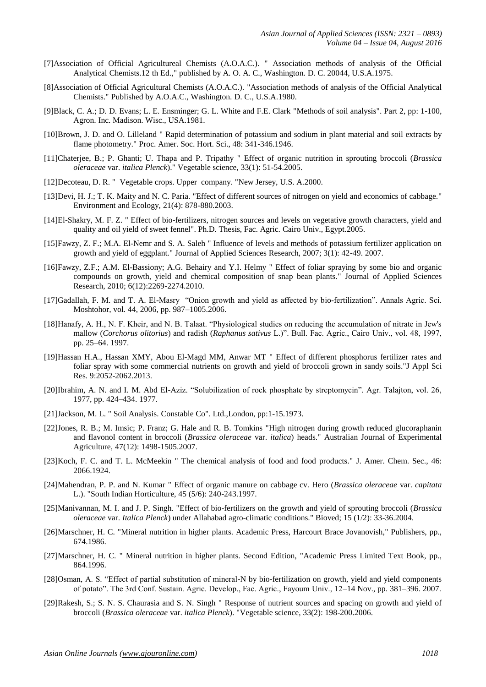- [7]Association of Official Agricultureal Chemists (A.O.A.C.). " Association methods of analysis of the Official Analytical Chemists.12 th Ed.," published by A. O. A. C., Washington. D. C. 20044, U.S.A.1975.
- [8]Association of Official Agricultural Chemists (A.O.A.C.). "Association methods of analysis of the Official Analytical Chemists." Published by A.O.A.C., Washington. D. C., U.S.A.1980.
- [9]Black, C. A.; D. D. Evans; L. E. Ensminger; G. L. White and F.E. Clark "Methods of soil analysis". Part 2, pp: 1-100, Agron. Inc. Madison. Wisc., USA.1981.
- [10]Brown, J. D. and O. Lilleland " Rapid determination of potassium and sodium in plant material and soil extracts by flame photometry." Proc. Amer. Soc. Hort. Sci., 48: 341-346.1946.
- [11]Chaterjee, B.; P. Ghanti; U. Thapa and P. Tripathy " Effect of organic nutrition in sprouting broccoli (*Brassica oleraceae* var. *italica Plenck*)." Vegetable science, 33(1): 51-54.2005.
- [12]Decoteau, D. R. " Vegetable crops. Upper company. "New Jersey, U.S. A.2000.
- [13]Devi, H. J.; T. K. Maity and N. C. Paria. "Effect of different sources of nitrogen on yield and economics of cabbage." Environment and Ecology, 21(4): 878-880.2003.
- [14]El-Shakry, M. F. Z. " Effect of bio-fertilizers, nitrogen sources and levels on vegetative growth characters, yield and quality and oil yield of sweet fennel". Ph.D. Thesis, Fac. Agric. Cairo Univ., Egypt.2005.
- [15]Fawzy, Z. F.; M.A. El-Nemr and S. A. Saleh " Influence of levels and methods of potassium fertilizer application on growth and yield of eggplant." Journal of Applied Sciences Research, 2007; 3(1): 42-49. 2007.
- [16]Fawzy, Z.F.; A.M. El-Bassiony; A.G. Behairy and Y.I. Helmy " Effect of foliar spraying by some bio and organic compounds on growth, yield and chemical composition of snap bean plants." Journal of Applied Sciences Research, 2010; 6(12):2269-2274.2010.
- [17]Gadallah, F. M. and T. A. El-Masry "Onion growth and yield as affected by bio-fertilization". Annals Agric. Sci. Moshtohor, vol. 44, 2006, pp. 987–1005.2006.
- [18]Hanafy, A. H., N. F. Kheir, and N. B. Talaat. "Physiological studies on reducing the accumulation of nitrate in Jew's mallow (*Corchorus olitorius*) and radish (*Raphanus sativus* L.)". Bull. Fac. Agric., Cairo Univ., vol. 48, 1997, pp. 25–64. 1997.
- [19]Hassan H.A., Hassan XMY, Abou El-Magd MM, Anwar MT " Effect of different phosphorus fertilizer rates and foliar spray with some commercial nutrients on growth and yield of broccoli grown in sandy soils."J Appl Sci Res. 9:2052-2062.2013.
- [20]Ibrahim, A. N. and I. M. Abd El-Aziz. "Solubilization of rock phosphate by streptomycin". Agr. Talajton, vol. 26, 1977, pp. 424–434. 1977.
- [21]Jackson, M. L. " Soil Analysis. Constable Co". Ltd.,London, pp:1-15.1973.
- [22]Jones, R. B.; M. Imsic; P. Franz; G. Hale and R. B. Tomkins "High nitrogen during growth reduced glucoraphanin and flavonol content in broccoli (*Brassica oleraceae* var. *italica*) heads." Australian Journal of Experimental Agriculture, 47(12): 1498-1505.2007.
- [23]Koch, F. C. and T. L. McMeekin " The chemical analysis of food and food products." J. Amer. Chem. Sec., 46: 2066.1924.
- [24]Mahendran, P. P. and N. Kumar " Effect of organic manure on cabbage cv. Hero (*Brassica oleraceae* var. *capitata* L.). "South Indian Horticulture, 45 (5/6): 240-243.1997.
- [25]Manivannan, M. I. and J. P. Singh. "Effect of bio-fertilizers on the growth and yield of sprouting broccoli (*Brassica oleraceae* var. *Italica Plenck*) under Allahabad agro-climatic conditions." Bioved; 15 (1/2): 33-36.2004.
- [26]Marschner, H. C. "Mineral nutrition in higher plants. Academic Press, Harcourt Brace Jovanovish," Publishers, pp., 674.1986.
- [27]Marschner, H. C. " Mineral nutrition in higher plants. Second Edition, "Academic Press Limited Text Book, pp., 864.1996.
- [28]Osman, A. S. "Effect of partial substitution of mineral-N by bio-fertilization on growth, yield and yield components of potato". The 3rd Conf. Sustain. Agric. Develop., Fac. Agric., Fayoum Univ., 12–14 Nov., pp. 381–396. 2007.
- [29]Rakesh, S.; S. N. S. Chaurasia and S. N. Singh " Response of nutrient sources and spacing on growth and yield of broccoli (*Brassica oleraceae* var. *italica Plenck*). "Vegetable science, 33(2): 198-200.2006.